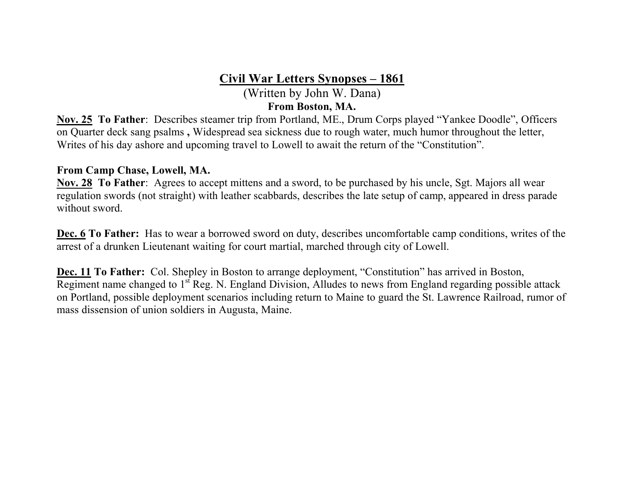# **Civil War Letters Synopses – 1861**

(Written by John W. Dana) **From Boston, MA.**

**Nov. 25 To Father**: Describes steamer trip from Portland, ME., Drum Corps played "Yankee Doodle", Officers on Quarter deck sang psalms **,** Widespread sea sickness due to rough water, much humor throughout the letter, Writes of his day ashore and upcoming travel to Lowell to await the return of the "Constitution".

#### **From Camp Chase, Lowell, MA.**

**Nov. 28 To Father**: Agrees to accept mittens and a sword, to be purchased by his uncle, Sgt. Majors all wear regulation swords (not straight) with leather scabbards, describes the late setup of camp, appeared in dress parade without sword.

**Dec. 6 To Father:** Has to wear a borrowed sword on duty, describes uncomfortable camp conditions, writes of the arrest of a drunken Lieutenant waiting for court martial, marched through city of Lowell.

**Dec. 11 To Father:** Col. Shepley in Boston to arrange deployment, "Constitution" has arrived in Boston, Regiment name changed to  $1<sup>st</sup>$  Reg. N. England Division, Alludes to news from England regarding possible attack on Portland, possible deployment scenarios including return to Maine to guard the St. Lawrence Railroad, rumor of mass dissension of union soldiers in Augusta, Maine.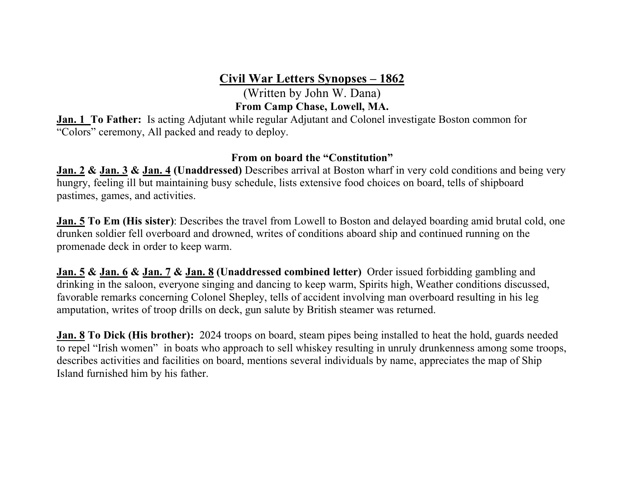**Civil War Letters Synopses – 1862**

(Written by John W. Dana) **From Camp Chase, Lowell, MA.**

**Jan. 1 To Father:** Is acting Adjutant while regular Adjutant and Colonel investigate Boston common for "Colors" ceremony, All packed and ready to deploy.

## **From on board the "Constitution"**

**Jan. 2 & Jan. 3 & Jan. 4 (Unaddressed)** Describes arrival at Boston wharf in very cold conditions and being very hungry, feeling ill but maintaining busy schedule, lists extensive food choices on board, tells of shipboard pastimes, games, and activities.

**Jan. 5 To Em (His sister)**: Describes the travel from Lowell to Boston and delayed boarding amid brutal cold, one drunken soldier fell overboard and drowned, writes of conditions aboard ship and continued running on the promenade deck in order to keep warm.

**Jan. 5 & Jan. 6 & Jan. 7 & Jan. 8 (Unaddressed combined letter)** Order issued forbidding gambling and drinking in the saloon, everyone singing and dancing to keep warm, Spirits high, Weather conditions discussed, favorable remarks concerning Colonel Shepley, tells of accident involving man overboard resulting in his leg amputation, writes of troop drills on deck, gun salute by British steamer was returned.

**Jan. 8 To Dick (His brother):** 2024 troops on board, steam pipes being installed to heat the hold, guards needed to repel "Irish women" in boats who approach to sell whiskey resulting in unruly drunkenness among some troops, describes activities and facilities on board, mentions several individuals by name, appreciates the map of Ship Island furnished him by his father.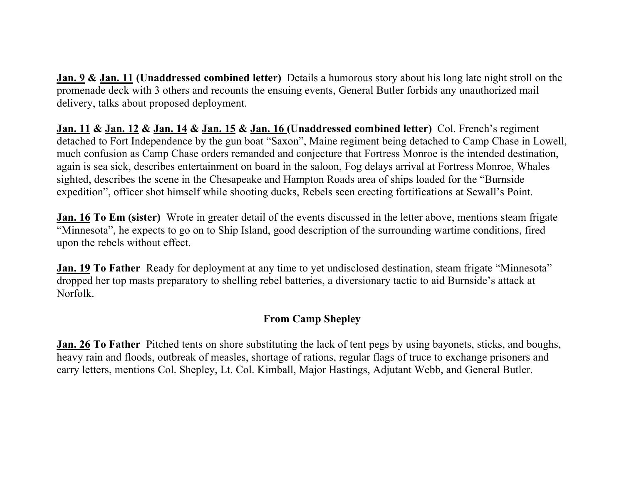**Jan. 9 & Jan. 11 (Unaddressed combined letter)** Details a humorous story about his long late night stroll on the promenade deck with 3 others and recounts the ensuing events, General Butler forbids any unauthorized mail delivery, talks about proposed deployment.

**Jan. 11 & Jan. 12 & Jan. 14 & Jan. 15 & Jan. 16 (Unaddressed combined letter)** Col. French's regiment detached to Fort Independence by the gun boat "Saxon", Maine regiment being detached to Camp Chase in Lowell, much confusion as Camp Chase orders remanded and conjecture that Fortress Monroe is the intended destination, again is sea sick, describes entertainment on board in the saloon, Fog delays arrival at Fortress Monroe, Whales sighted, describes the scene in the Chesapeake and Hampton Roads area of ships loaded for the "Burnside expedition", officer shot himself while shooting ducks, Rebels seen erecting fortifications at Sewall's Point.

**Jan. 16 To Em (sister)** Wrote in greater detail of the events discussed in the letter above, mentions steam frigate "Minnesota", he expects to go on to Ship Island, good description of the surrounding wartime conditions, fired upon the rebels without effect.

**Jan. 19 To Father** Ready for deployment at any time to yet undisclosed destination, steam frigate "Minnesota" dropped her top masts preparatory to shelling rebel batteries, a diversionary tactic to aid Burnside's attack at Norfolk.

# **From Camp Shepley**

**Jan. 26 To Father** Pitched tents on shore substituting the lack of tent pegs by using bayonets, sticks, and boughs, heavy rain and floods, outbreak of measles, shortage of rations, regular flags of truce to exchange prisoners and carry letters, mentions Col. Shepley, Lt. Col. Kimball, Major Hastings, Adjutant Webb, and General Butler.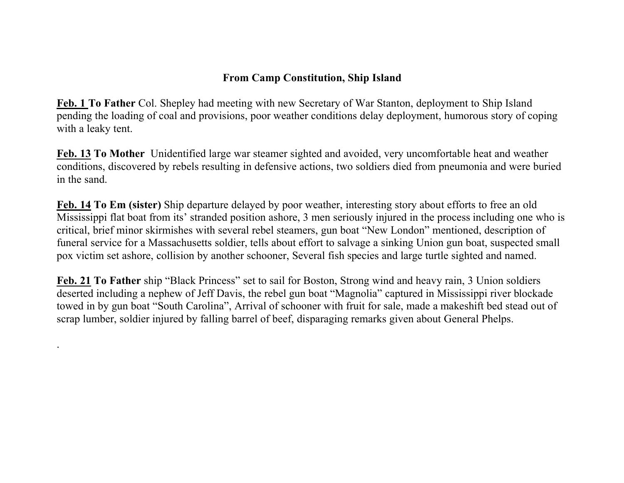# **From Camp Constitution, Ship Island**

**Feb. 1 To Father** Col. Shepley had meeting with new Secretary of War Stanton, deployment to Ship Island pending the loading of coal and provisions, poor weather conditions delay deployment, humorous story of coping with a leaky tent.

**Feb. 13 To Mother** Unidentified large war steamer sighted and avoided, very uncomfortable heat and weather conditions, discovered by rebels resulting in defensive actions, two soldiers died from pneumonia and were buried in the sand.

**Feb. 14 To Em (sister)** Ship departure delayed by poor weather, interesting story about efforts to free an old Mississippi flat boat from its' stranded position ashore, 3 men seriously injured in the process including one who is critical, brief minor skirmishes with several rebel steamers, gun boat "New London" mentioned, description of funeral service for a Massachusetts soldier, tells about effort to salvage a sinking Union gun boat, suspected small pox victim set ashore, collision by another schooner, Several fish species and large turtle sighted and named.

**Feb. 21 To Father** ship "Black Princess" set to sail for Boston, Strong wind and heavy rain, 3 Union soldiers deserted including a nephew of Jeff Davis, the rebel gun boat "Magnolia" captured in Mississippi river blockade towed in by gun boat "South Carolina", Arrival of schooner with fruit for sale, made a makeshift bed stead out of scrap lumber, soldier injured by falling barrel of beef, disparaging remarks given about General Phelps.

.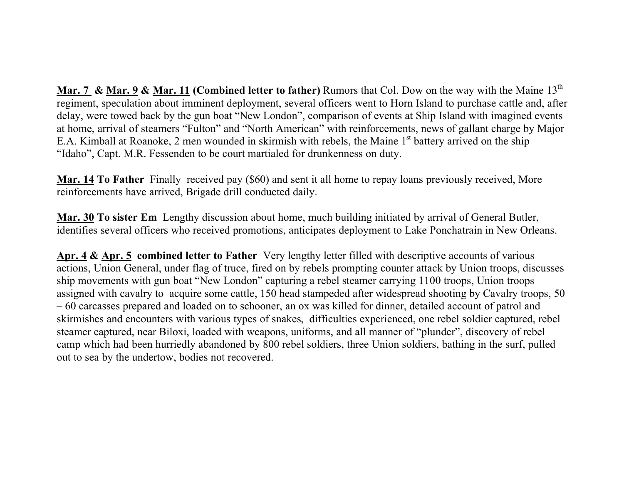**Mar. 7 & Mar. 9 & Mar. 11 (Combined letter to father)** Rumors that Col. Dow on the way with the Maine 13<sup>th</sup> regiment, speculation about imminent deployment, several officers went to Horn Island to purchase cattle and, after delay, were towed back by the gun boat "New London", comparison of events at Ship Island with imagined events at home, arrival of steamers "Fulton" and "North American" with reinforcements, news of gallant charge by Major E.A. Kimball at Roanoke, 2 men wounded in skirmish with rebels, the Maine 1<sup>st</sup> battery arrived on the ship "Idaho", Capt. M.R. Fessenden to be court martialed for drunkenness on duty.

**Mar. 14 To Father** Finally received pay (\$60) and sent it all home to repay loans previously received, More reinforcements have arrived, Brigade drill conducted daily.

**Mar. 30 To sister Em** Lengthy discussion about home, much building initiated by arrival of General Butler, identifies several officers who received promotions, anticipates deployment to Lake Ponchatrain in New Orleans.

**Apr. 4 & Apr. 5 combined letter to Father** Very lengthy letter filled with descriptive accounts of various actions, Union General, under flag of truce, fired on by rebels prompting counter attack by Union troops, discusses ship movements with gun boat "New London" capturing a rebel steamer carrying 1100 troops, Union troops assigned with cavalry to acquire some cattle, 150 head stampeded after widespread shooting by Cavalry troops, 50 – 60 carcasses prepared and loaded on to schooner, an ox was killed for dinner, detailed account of patrol and skirmishes and encounters with various types of snakes, difficulties experienced, one rebel soldier captured, rebel steamer captured, near Biloxi, loaded with weapons, uniforms, and all manner of "plunder", discovery of rebel camp which had been hurriedly abandoned by 800 rebel soldiers, three Union soldiers, bathing in the surf, pulled out to sea by the undertow, bodies not recovered.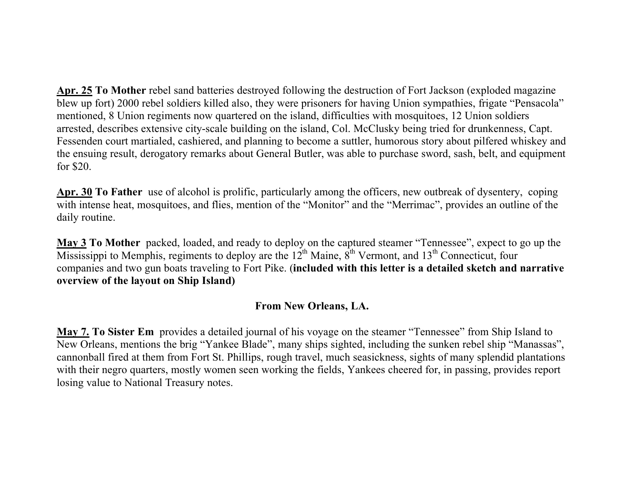**Apr. 25 To Mother** rebel sand batteries destroyed following the destruction of Fort Jackson (exploded magazine blew up fort) 2000 rebel soldiers killed also, they were prisoners for having Union sympathies, frigate "Pensacola" mentioned, 8 Union regiments now quartered on the island, difficulties with mosquitoes, 12 Union soldiers arrested, describes extensive city-scale building on the island, Col. McClusky being tried for drunkenness, Capt. Fessenden court martialed, cashiered, and planning to become a suttler, humorous story about pilfered whiskey and the ensuing result, derogatory remarks about General Butler, was able to purchase sword, sash, belt, and equipment for \$20.

**Apr. 30 To Father** use of alcohol is prolific, particularly among the officers, new outbreak of dysentery, coping with intense heat, mosquitoes, and flies, mention of the "Monitor" and the "Merrimac", provides an outline of the daily routine.

**May 3 To Mother** packed, loaded, and ready to deploy on the captured steamer "Tennessee", expect to go up the Mississippi to Memphis, regiments to deploy are the  $12<sup>th</sup>$  Maine,  $8<sup>th</sup>$  Vermont, and  $13<sup>th</sup>$  Connecticut, four companies and two gun boats traveling to Fort Pike. (**included with this letter is a detailed sketch and narrative overview of the layout on Ship Island)**

# **From New Orleans, LA.**

**May 7. To Sister Em** provides a detailed journal of his voyage on the steamer "Tennessee" from Ship Island to New Orleans, mentions the brig "Yankee Blade", many ships sighted, including the sunken rebel ship "Manassas", cannonball fired at them from Fort St. Phillips, rough travel, much seasickness, sights of many splendid plantations with their negro quarters, mostly women seen working the fields, Yankees cheered for, in passing, provides report losing value to National Treasury notes.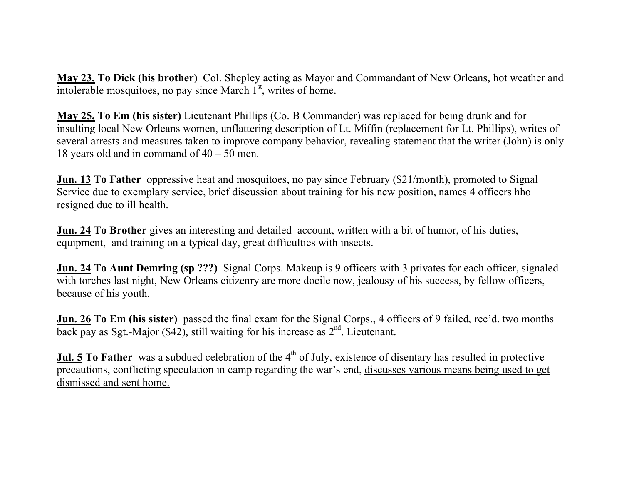**May 23. To Dick (his brother)** Col. Shepley acting as Mayor and Commandant of New Orleans, hot weather and intolerable mosquitoes, no pay since March  $1<sup>st</sup>$ , writes of home.

**May 25. To Em (his sister)** Lieutenant Phillips (Co. B Commander) was replaced for being drunk and for insulting local New Orleans women, unflattering description of Lt. Miffin (replacement for Lt. Phillips), writes of several arrests and measures taken to improve company behavior, revealing statement that the writer (John) is only 18 years old and in command of 40 – 50 men.

**Jun. 13 To Father** oppressive heat and mosquitoes, no pay since February (\$21/month), promoted to Signal Service due to exemplary service, brief discussion about training for his new position, names 4 officers hho resigned due to ill health.

**Jun. 24 To Brother** gives an interesting and detailed account, written with a bit of humor, of his duties, equipment, and training on a typical day, great difficulties with insects.

**Jun. 24 To Aunt Demring (sp ???)** Signal Corps. Makeup is 9 officers with 3 privates for each officer, signaled with torches last night, New Orleans citizenry are more docile now, jealousy of his success, by fellow officers, because of his youth.

**Jun. 26 To Em (his sister)** passed the final exam for the Signal Corps., 4 officers of 9 failed, rec'd. two months back pay as Sgt.-Major (\$42), still waiting for his increase as  $2<sup>nd</sup>$ . Lieutenant.

**Jul. 5** To Father was a subdued celebration of the 4<sup>th</sup> of July, existence of disentary has resulted in protective precautions, conflicting speculation in camp regarding the war's end, discusses various means being used to get dismissed and sent home.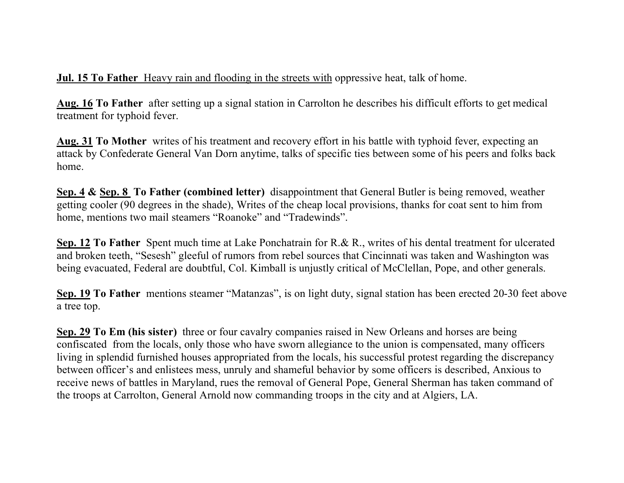# **Jul. 15 To Father** Heavy rain and flooding in the streets with oppressive heat, talk of home.

**Aug. 16 To Father** after setting up a signal station in Carrolton he describes his difficult efforts to get medical treatment for typhoid fever.

**Aug. 31 To Mother** writes of his treatment and recovery effort in his battle with typhoid fever, expecting an attack by Confederate General Van Dorn anytime, talks of specific ties between some of his peers and folks back home.

**Sep. 4 & Sep. 8 To Father (combined letter)** disappointment that General Butler is being removed, weather getting cooler (90 degrees in the shade), Writes of the cheap local provisions, thanks for coat sent to him from home, mentions two mail steamers "Roanoke" and "Tradewinds".

**Sep. 12 To Father** Spent much time at Lake Ponchatrain for R.& R., writes of his dental treatment for ulcerated and broken teeth, "Sesesh" gleeful of rumors from rebel sources that Cincinnati was taken and Washington was being evacuated, Federal are doubtful, Col. Kimball is unjustly critical of McClellan, Pope, and other generals.

**Sep. 19 To Father** mentions steamer "Matanzas", is on light duty, signal station has been erected 20-30 feet above a tree top.

**Sep. 29 To Em (his sister)** three or four cavalry companies raised in New Orleans and horses are being confiscated from the locals, only those who have sworn allegiance to the union is compensated, many officers living in splendid furnished houses appropriated from the locals, his successful protest regarding the discrepancy between officer's and enlistees mess, unruly and shameful behavior by some officers is described, Anxious to receive news of battles in Maryland, rues the removal of General Pope, General Sherman has taken command of the troops at Carrolton, General Arnold now commanding troops in the city and at Algiers, LA.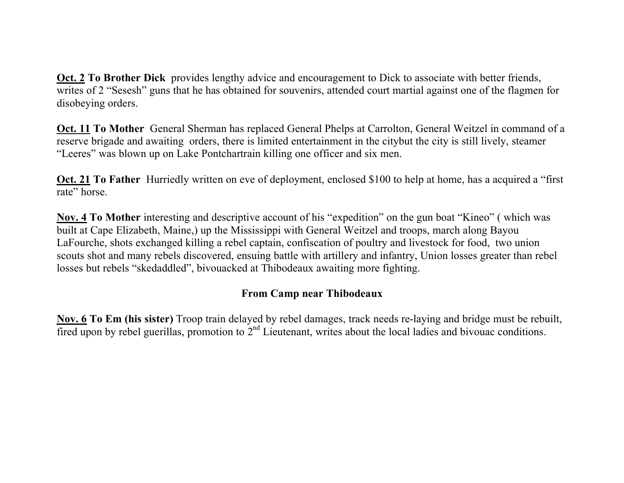**Oct. 2 To Brother Dick** provides lengthy advice and encouragement to Dick to associate with better friends, writes of 2 "Sesesh" guns that he has obtained for souvenirs, attended court martial against one of the flagmen for disobeying orders.

**Oct. 11 To Mother** General Sherman has replaced General Phelps at Carrolton, General Weitzel in command of a reserve brigade and awaiting orders, there is limited entertainment in the citybut the city is still lively, steamer "Leeres" was blown up on Lake Pontchartrain killing one officer and six men.

**Oct. 21 To Father** Hurriedly written on eve of deployment, enclosed \$100 to help at home, has a acquired a "first rate" horse.

**Nov. 4 To Mother** interesting and descriptive account of his "expedition" on the gun boat "Kineo" ( which was built at Cape Elizabeth, Maine,) up the Mississippi with General Weitzel and troops, march along Bayou LaFourche, shots exchanged killing a rebel captain, confiscation of poultry and livestock for food, two union scouts shot and many rebels discovered, ensuing battle with artillery and infantry, Union losses greater than rebel losses but rebels "skedaddled", bivouacked at Thibodeaux awaiting more fighting.

# **From Camp near Thibodeaux**

**Nov. 6 To Em (his sister)** Troop train delayed by rebel damages, track needs re-laying and bridge must be rebuilt, fired upon by rebel guerillas, promotion to  $2<sup>nd</sup>$  Lieutenant, writes about the local ladies and bivouac conditions.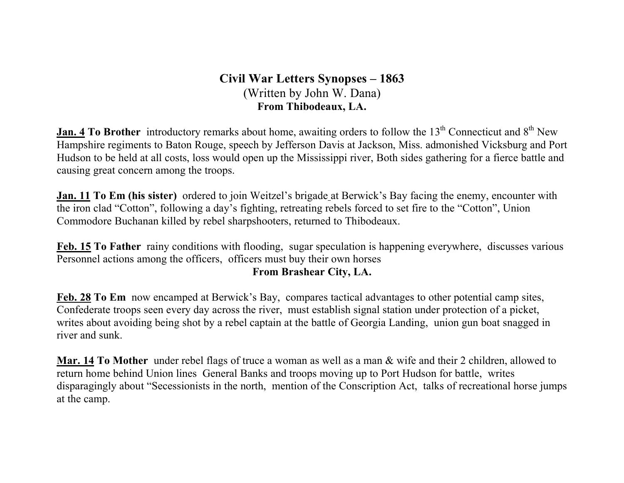# **Civil War Letters Synopses – 1863** (Written by John W. Dana) **From Thibodeaux, LA.**

**Jan. 4 To Brother** introductory remarks about home, awaiting orders to follow the 13<sup>th</sup> Connecticut and 8<sup>th</sup> New Hampshire regiments to Baton Rouge, speech by Jefferson Davis at Jackson, Miss. admonished Vicksburg and Port Hudson to be held at all costs, loss would open up the Mississippi river, Both sides gathering for a fierce battle and causing great concern among the troops.

**Jan. 11 To Em (his sister)** ordered to join Weitzel's brigade at Berwick's Bay facing the enemy, encounter with the iron clad "Cotton", following a day's fighting, retreating rebels forced to set fire to the "Cotton", Union Commodore Buchanan killed by rebel sharpshooters, returned to Thibodeaux.

**Feb. 15 To Father** rainy conditions with flooding, sugar speculation is happening everywhere, discusses various Personnel actions among the officers, officers must buy their own horses

## **From Brashear City, LA.**

**Feb. 28 To Em** now encamped at Berwick's Bay, compares tactical advantages to other potential camp sites, Confederate troops seen every day across the river, must establish signal station under protection of a picket, writes about avoiding being shot by a rebel captain at the battle of Georgia Landing, union gun boat snagged in river and sunk.

**Mar. 14 To Mother** under rebel flags of truce a woman as well as a man & wife and their 2 children, allowed to return home behind Union lines General Banks and troops moving up to Port Hudson for battle, writes disparagingly about "Secessionists in the north, mention of the Conscription Act, talks of recreational horse jumps at the camp.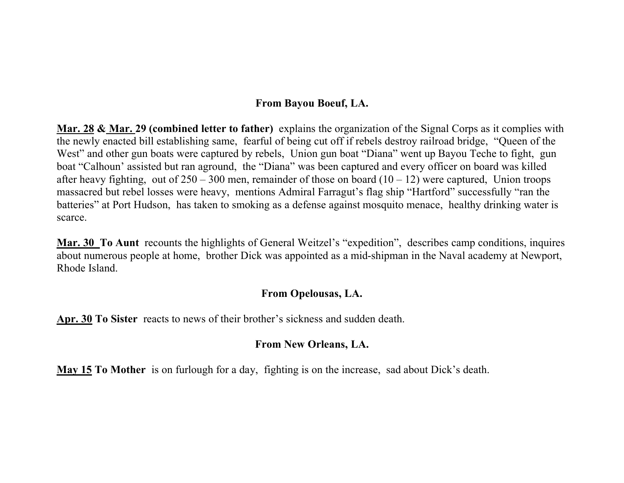## **From Bayou Boeuf, LA.**

**Mar. 28 & Mar. 29 (combined letter to father)** explains the organization of the Signal Corps as it complies with the newly enacted bill establishing same, fearful of being cut off if rebels destroy railroad bridge, "Queen of the West" and other gun boats were captured by rebels, Union gun boat "Diana" went up Bayou Teche to fight, gun boat "Calhoun' assisted but ran aground, the "Diana" was been captured and every officer on board was killed after heavy fighting, out of  $250 - 300$  men, remainder of those on board  $(10 - 12)$  were captured, Union troops massacred but rebel losses were heavy, mentions Admiral Farragut's flag ship "Hartford" successfully "ran the batteries" at Port Hudson, has taken to smoking as a defense against mosquito menace, healthy drinking water is scarce.

**Mar. 30 To Aunt** recounts the highlights of General Weitzel's "expedition", describes camp conditions, inquires about numerous people at home, brother Dick was appointed as a mid-shipman in the Naval academy at Newport, Rhode Island.

#### **From Opelousas, LA.**

**Apr. 30 To Sister** reacts to news of their brother's sickness and sudden death.

## **From New Orleans, LA.**

**May 15 To Mother** is on furlough for a day, fighting is on the increase, sad about Dick's death.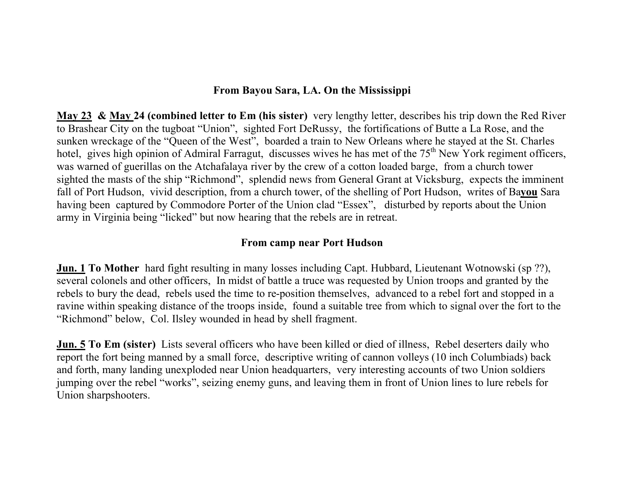#### **From Bayou Sara, LA. On the Mississippi**

**May 23 & May 24 (combined letter to Em (his sister)** very lengthy letter, describes his trip down the Red River to Brashear City on the tugboat "Union", sighted Fort DeRussy, the fortifications of Butte a La Rose, and the sunken wreckage of the "Queen of the West", boarded a train to New Orleans where he stayed at the St. Charles hotel, gives high opinion of Admiral Farragut, discusses wives he has met of the 75<sup>th</sup> New York regiment officers, was warned of guerillas on the Atchafalaya river by the crew of a cotton loaded barge, from a church tower sighted the masts of the ship "Richmond", splendid news from General Grant at Vicksburg, expects the imminent fall of Port Hudson, vivid description, from a church tower, of the shelling of Port Hudson, writes of Ba**you** Sara having been captured by Commodore Porter of the Union clad "Essex", disturbed by reports about the Union army in Virginia being "licked" but now hearing that the rebels are in retreat.

#### **From camp near Port Hudson**

**Jun. 1 To Mother** hard fight resulting in many losses including Capt. Hubbard, Lieutenant Wotnowski (sp ??), several colonels and other officers, In midst of battle a truce was requested by Union troops and granted by the rebels to bury the dead, rebels used the time to re-position themselves, advanced to a rebel fort and stopped in a ravine within speaking distance of the troops inside, found a suitable tree from which to signal over the fort to the "Richmond" below, Col. Ilsley wounded in head by shell fragment.

**Jun. 5 To Em (sister)** Lists several officers who have been killed or died of illness, Rebel deserters daily who report the fort being manned by a small force, descriptive writing of cannon volleys (10 inch Columbiads) back and forth, many landing unexploded near Union headquarters, very interesting accounts of two Union soldiers jumping over the rebel "works", seizing enemy guns, and leaving them in front of Union lines to lure rebels for Union sharpshooters.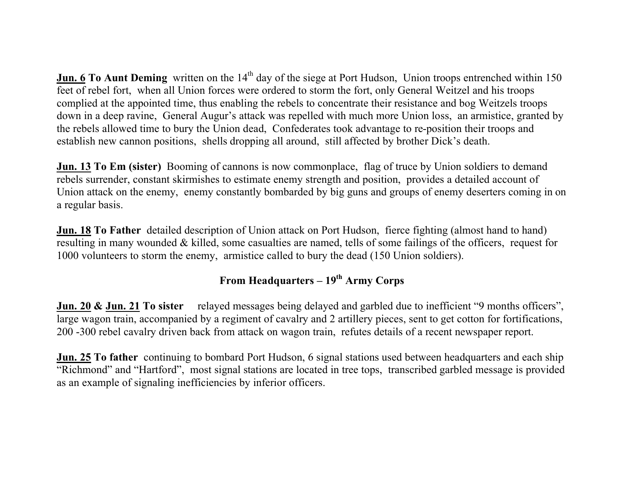**Jun. 6 To Aunt Deming** written on the 14<sup>th</sup> day of the siege at Port Hudson, Union troops entrenched within 150 feet of rebel fort, when all Union forces were ordered to storm the fort, only General Weitzel and his troops complied at the appointed time, thus enabling the rebels to concentrate their resistance and bog Weitzels troops down in a deep ravine, General Augur's attack was repelled with much more Union loss, an armistice, granted by the rebels allowed time to bury the Union dead, Confederates took advantage to re-position their troops and establish new cannon positions, shells dropping all around, still affected by brother Dick's death.

**Jun. 13 To Em (sister)** Booming of cannons is now commonplace, flag of truce by Union soldiers to demand rebels surrender, constant skirmishes to estimate enemy strength and position, provides a detailed account of Union attack on the enemy, enemy constantly bombarded by big guns and groups of enemy deserters coming in on a regular basis.

**Jun. 18 To Father** detailed description of Union attack on Port Hudson, fierce fighting (almost hand to hand) resulting in many wounded & killed, some casualties are named, tells of some failings of the officers, request for 1000 volunteers to storm the enemy, armistice called to bury the dead (150 Union soldiers).

# From Headquarters – 19<sup>th</sup> Army Corps

**Jun. 20 & Jun. 21 To sister** relayed messages being delayed and garbled due to inefficient "9 months officers", large wagon train, accompanied by a regiment of cavalry and 2 artillery pieces, sent to get cotton for fortifications, 200 -300 rebel cavalry driven back from attack on wagon train, refutes details of a recent newspaper report.

**Jun. 25 To father** continuing to bombard Port Hudson, 6 signal stations used between headquarters and each ship "Richmond" and "Hartford", most signal stations are located in tree tops, transcribed garbled message is provided as an example of signaling inefficiencies by inferior officers.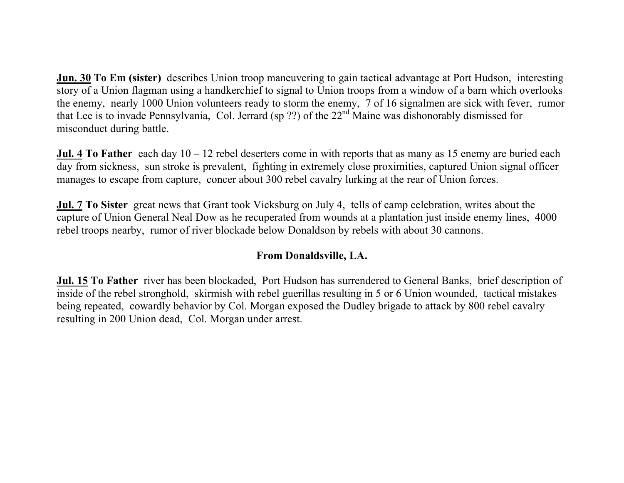**Jun. 30 To Em (sister)** describes Union troop maneuvering to gain tactical advantage at Port Hudson, interesting story of a Union flagman using a handkerchief to signal to Union troops from a window of a barn which overlooks the enemy, nearly 1000 Union volunteers ready to storm the enemy, 7 of 16 signalmen are sick with fever, rumor that Lee is to invade Pennsylvania, Col. Jerrard (sp ??) of the 22nd Maine was dishonorably dismissed for misconduct during battle.

**Jul. 4 To Father** each day 10 – 12 rebel deserters come in with reports that as many as 15 enemy are buried each day from sickness, sun stroke is prevalent, fighting in extremely close proximities, captured Union signal officer manages to escape from capture, concer about 300 rebel cavalry lurking at the rear of Union forces.

**Jul. 7 To Sister** great news that Grant took Vicksburg on July 4, tells of camp celebration, writes about the capture of Union General Neal Dow as he recuperated from wounds at a plantation just inside enemy lines, 4000 rebel troops nearby, rumor of river blockade below Donaldson by rebels with about 30 cannons.

## **From Donaldsville, LA.**

**Jul. 15 To Father** river has been blockaded, Port Hudson has surrendered to General Banks, brief description of inside of the rebel stronghold, skirmish with rebel guerillas resulting in 5 or 6 Union wounded, tactical mistakes being repeated, cowardly behavior by Col. Morgan exposed the Dudley brigade to attack by 800 rebel cavalry resulting in 200 Union dead, Col. Morgan under arrest.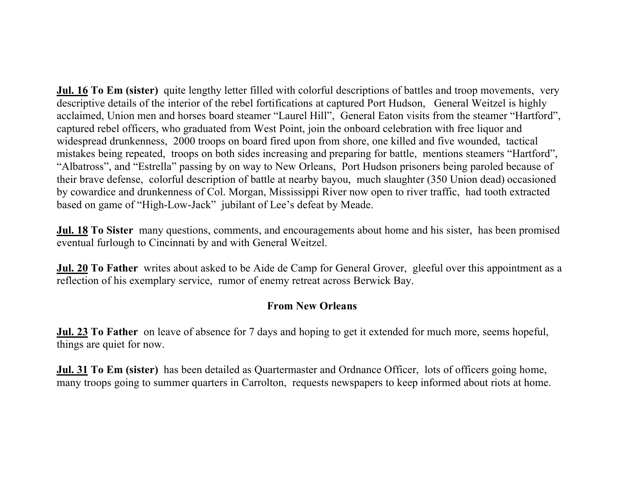**Jul. 16 To Em (sister)** quite lengthy letter filled with colorful descriptions of battles and troop movements, very descriptive details of the interior of the rebel fortifications at captured Port Hudson, General Weitzel is highly acclaimed, Union men and horses board steamer "Laurel Hill", General Eaton visits from the steamer "Hartford", captured rebel officers, who graduated from West Point, join the onboard celebration with free liquor and widespread drunkenness, 2000 troops on board fired upon from shore, one killed and five wounded, tactical mistakes being repeated, troops on both sides increasing and preparing for battle, mentions steamers "Hartford", "Albatross", and "Estrella" passing by on way to New Orleans, Port Hudson prisoners being paroled because of their brave defense, colorful description of battle at nearby bayou, much slaughter (350 Union dead) occasioned by cowardice and drunkenness of Col. Morgan, Mississippi River now open to river traffic, had tooth extracted based on game of "High-Low-Jack" jubilant of Lee's defeat by Meade.

**Jul. 18 To Sister** many questions, comments, and encouragements about home and his sister, has been promised eventual furlough to Cincinnati by and with General Weitzel.

**Jul. 20 To Father** writes about asked to be Aide de Camp for General Grover, gleeful over this appointment as a reflection of his exemplary service, rumor of enemy retreat across Berwick Bay.

## **From New Orleans**

**Jul. 23 To Father** on leave of absence for 7 days and hoping to get it extended for much more, seems hopeful, things are quiet for now.

**Jul. 31 To Em (sister)** has been detailed as Quartermaster and Ordnance Officer, lots of officers going home, many troops going to summer quarters in Carrolton, requests newspapers to keep informed about riots at home.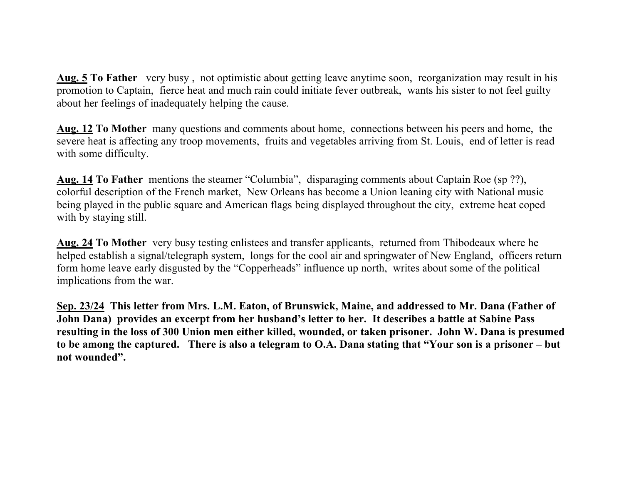**Aug. 5 To Father** very busy , not optimistic about getting leave anytime soon, reorganization may result in his promotion to Captain, fierce heat and much rain could initiate fever outbreak, wants his sister to not feel guilty about her feelings of inadequately helping the cause.

**Aug. 12 To Mother** many questions and comments about home, connections between his peers and home, the severe heat is affecting any troop movements, fruits and vegetables arriving from St. Louis, end of letter is read with some difficulty.

**Aug. 14 To Father** mentions the steamer "Columbia", disparaging comments about Captain Roe (sp ??), colorful description of the French market, New Orleans has become a Union leaning city with National music being played in the public square and American flags being displayed throughout the city, extreme heat coped with by staying still.

**Aug. 24 To Mother** very busy testing enlistees and transfer applicants, returned from Thibodeaux where he helped establish a signal/telegraph system, longs for the cool air and springwater of New England, officers return form home leave early disgusted by the "Copperheads" influence up north, writes about some of the political implications from the war.

**Sep. 23/24 This letter from Mrs. L.M. Eaton, of Brunswick, Maine, and addressed to Mr. Dana (Father of John Dana) provides an excerpt from her husband's letter to her. It describes a battle at Sabine Pass resulting in the loss of 300 Union men either killed, wounded, or taken prisoner. John W. Dana is presumed to be among the captured. There is also a telegram to O.A. Dana stating that "Your son is a prisoner – but not wounded".**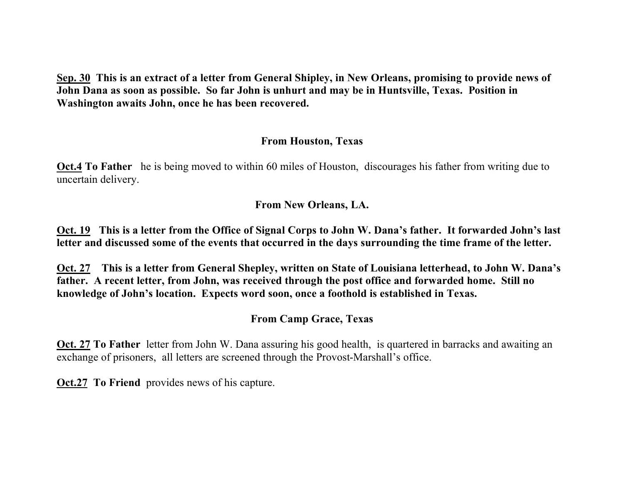**Sep. 30 This is an extract of a letter from General Shipley, in New Orleans, promising to provide news of John Dana as soon as possible. So far John is unhurt and may be in Huntsville, Texas. Position in Washington awaits John, once he has been recovered.**

#### **From Houston, Texas**

**Oct.4 To Father** he is being moved to within 60 miles of Houston, discourages his father from writing due to uncertain delivery.

#### **From New Orleans, LA.**

**Oct. 19 This is a letter from the Office of Signal Corps to John W. Dana's father. It forwarded John's last letter and discussed some of the events that occurred in the days surrounding the time frame of the letter.**

**Oct. 27 This is a letter from General Shepley, written on State of Louisiana letterhead, to John W. Dana's father. A recent letter, from John, was received through the post office and forwarded home. Still no knowledge of John's location. Expects word soon, once a foothold is established in Texas.**

## **From Camp Grace, Texas**

**Oct. 27 To Father** letter from John W. Dana assuring his good health, is quartered in barracks and awaiting an exchange of prisoners, all letters are screened through the Provost-Marshall's office.

**Oct.27 To Friend** provides news of his capture.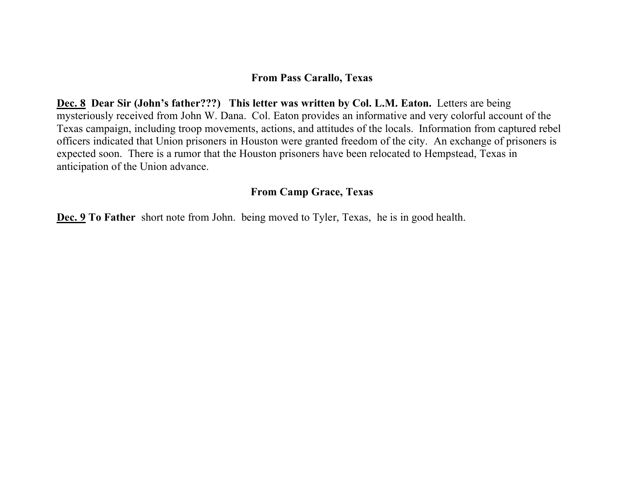#### **From Pass Carallo, Texas**

Dec. 8 Dear Sir (John's father???) This letter was written by Col. L.M. Eaton. Letters are being mysteriously received from John W. Dana. Col. Eaton provides an informative and very colorful account of the Texas campaign, including troop movements, actions, and attitudes of the locals. Information from captured rebel officers indicated that Union prisoners in Houston were granted freedom of the city. An exchange of prisoners is expected soon. There is a rumor that the Houston prisoners have been relocated to Hempstead, Texas in anticipation of the Union advance.

#### **From Camp Grace, Texas**

**Dec. 9 To Father** short note from John. being moved to Tyler, Texas, he is in good health.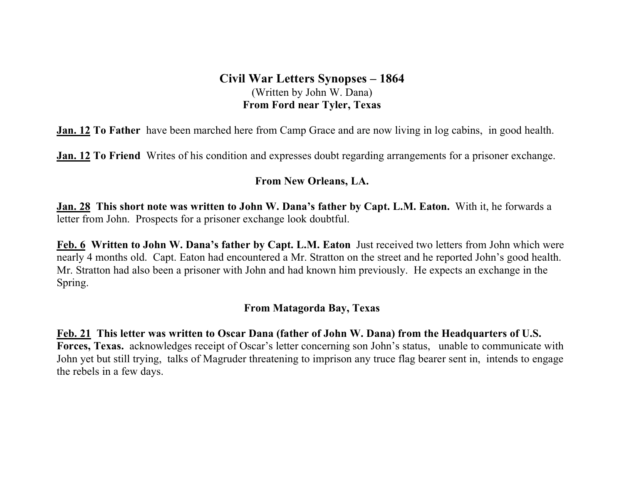# **Civil War Letters Synopses – 1864** (Written by John W. Dana) **From Ford near Tyler, Texas**

**Jan. 12 To Father** have been marched here from Camp Grace and are now living in log cabins, in good health.

**Jan. 12 To Friend** Writes of his condition and expresses doubt regarding arrangements for a prisoner exchange.

#### **From New Orleans, LA.**

**Jan. 28 This short note was written to John W. Dana's father by Capt. L.M. Eaton.** With it, he forwards a letter from John. Prospects for a prisoner exchange look doubtful.

**Feb. 6 Written to John W. Dana's father by Capt. L.M. Eaton** Just received two letters from John which were nearly 4 months old. Capt. Eaton had encountered a Mr. Stratton on the street and he reported John's good health. Mr. Stratton had also been a prisoner with John and had known him previously. He expects an exchange in the Spring.

#### **From Matagorda Bay, Texas**

**Feb. 21 This letter was written to Oscar Dana (father of John W. Dana) from the Headquarters of U.S. Forces, Texas.** acknowledges receipt of Oscar's letter concerning son John's status, unable to communicate with John yet but still trying, talks of Magruder threatening to imprison any truce flag bearer sent in, intends to engage the rebels in a few days.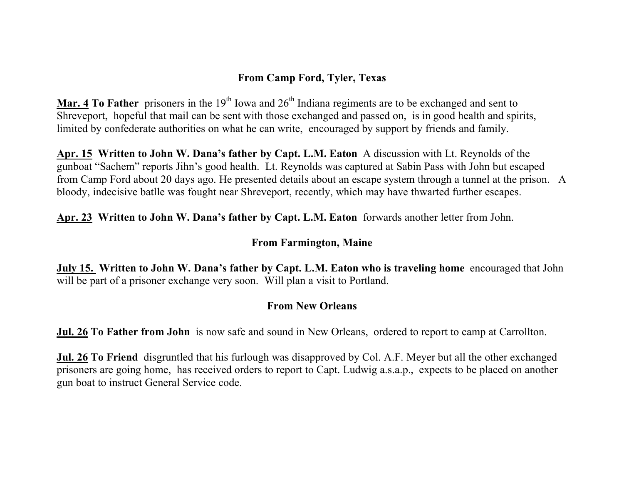# **From Camp Ford, Tyler, Texas**

**Mar. 4 To Father** prisoners in the 19<sup>th</sup> Iowa and  $26<sup>th</sup>$  Indiana regiments are to be exchanged and sent to Shreveport, hopeful that mail can be sent with those exchanged and passed on, is in good health and spirits, limited by confederate authorities on what he can write, encouraged by support by friends and family.

**Apr. 15 Written to John W. Dana's father by Capt. L.M. Eaton** A discussion with Lt. Reynolds of the gunboat "Sachem" reports Jihn's good health. Lt. Reynolds was captured at Sabin Pass with John but escaped from Camp Ford about 20 days ago. He presented details about an escape system through a tunnel at the prison. A bloody, indecisive batlle was fought near Shreveport, recently, which may have thwarted further escapes.

**Apr. 23 Written to John W. Dana's father by Capt. L.M. Eaton** forwards another letter from John.

#### **From Farmington, Maine**

**July 15. Written to John W. Dana's father by Capt. L.M. Eaton who is traveling home** encouraged that John will be part of a prisoner exchange very soon. Will plan a visit to Portland.

## **From New Orleans**

**Jul. 26 To Father from John** is now safe and sound in New Orleans, ordered to report to camp at Carrollton.

**Jul. 26 To Friend** disgruntled that his furlough was disapproved by Col. A.F. Meyer but all the other exchanged prisoners are going home, has received orders to report to Capt. Ludwig a.s.a.p., expects to be placed on another gun boat to instruct General Service code.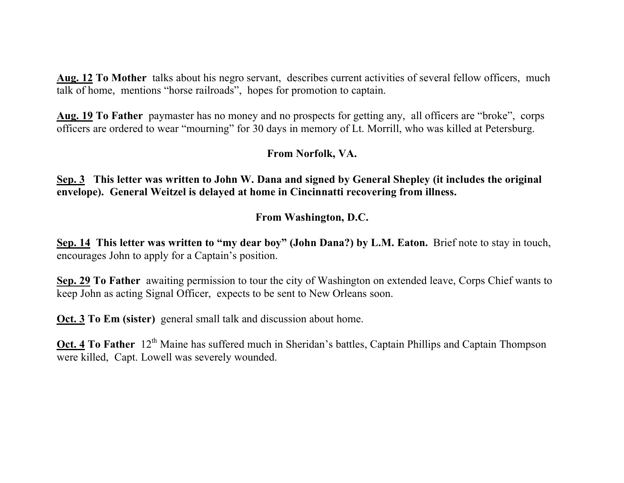**Aug. 12 To Mother** talks about his negro servant, describes current activities of several fellow officers, much talk of home, mentions "horse railroads", hopes for promotion to captain.

**Aug. 19 To Father** paymaster has no money and no prospects for getting any, all officers are "broke", corps officers are ordered to wear "mourning" for 30 days in memory of Lt. Morrill, who was killed at Petersburg.

## **From Norfolk, VA.**

**Sep. 3 This letter was written to John W. Dana and signed by General Shepley (it includes the original envelope). General Weitzel is delayed at home in Cincinnatti recovering from illness.** 

## **From Washington, D.C.**

**Sep. 14 This letter was written to "my dear boy" (John Dana?) by L.M. Eaton.** Brief note to stay in touch, encourages John to apply for a Captain's position.

**Sep. 29 To Father** awaiting permission to tour the city of Washington on extended leave, Corps Chief wants to keep John as acting Signal Officer, expects to be sent to New Orleans soon.

**Oct. 3 To Em (sister)** general small talk and discussion about home.

**Oct. 4 To Father** 12<sup>th</sup> Maine has suffered much in Sheridan's battles, Captain Phillips and Captain Thompson were killed, Capt. Lowell was severely wounded.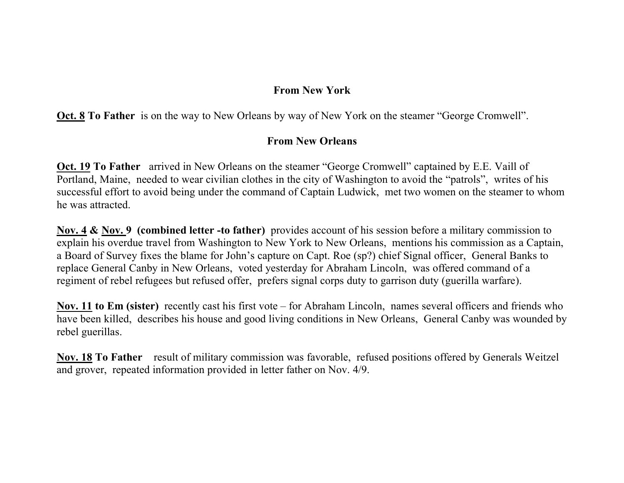## **From New York**

**Oct. 8 To Father** is on the way to New Orleans by way of New York on the steamer "George Cromwell".

## **From New Orleans**

**Oct. 19 To Father** arrived in New Orleans on the steamer "George Cromwell" captained by E.E. Vaill of Portland, Maine, needed to wear civilian clothes in the city of Washington to avoid the "patrols", writes of his successful effort to avoid being under the command of Captain Ludwick, met two women on the steamer to whom he was attracted.

**Nov. 4 & Nov. 9 (combined letter -to father)** provides account of his session before a military commission to explain his overdue travel from Washington to New York to New Orleans, mentions his commission as a Captain, a Board of Survey fixes the blame for John's capture on Capt. Roe (sp?) chief Signal officer, General Banks to replace General Canby in New Orleans, voted yesterday for Abraham Lincoln, was offered command of a regiment of rebel refugees but refused offer, prefers signal corps duty to garrison duty (guerilla warfare).

**Nov. 11 to Em (sister)** recently cast his first vote – for Abraham Lincoln, names several officers and friends who have been killed, describes his house and good living conditions in New Orleans, General Canby was wounded by rebel guerillas.

**Nov. 18 To Father** result of military commission was favorable, refused positions offered by Generals Weitzel and grover, repeated information provided in letter father on Nov. 4/9.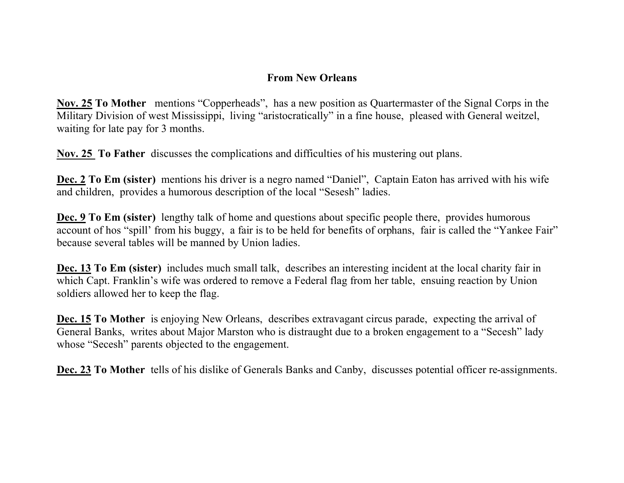## **From New Orleans**

**Nov. 25 To Mother** mentions "Copperheads", has a new position as Quartermaster of the Signal Corps in the Military Division of west Mississippi, living "aristocratically" in a fine house, pleased with General weitzel, waiting for late pay for 3 months.

**Nov. 25 To Father** discusses the complications and difficulties of his mustering out plans.

**Dec. 2 To Em (sister)** mentions his driver is a negro named "Daniel", Captain Eaton has arrived with his wife and children, provides a humorous description of the local "Sesesh" ladies.

**Dec. 9 To Em (sister)** lengthy talk of home and questions about specific people there, provides humorous account of hos "spill' from his buggy, a fair is to be held for benefits of orphans, fair is called the "Yankee Fair" because several tables will be manned by Union ladies.

**Dec. 13 To Em (sister)** includes much small talk, describes an interesting incident at the local charity fair in which Capt. Franklin's wife was ordered to remove a Federal flag from her table, ensuing reaction by Union soldiers allowed her to keep the flag.

**Dec. 15 To Mother** is enjoying New Orleans, describes extravagant circus parade, expecting the arrival of General Banks, writes about Major Marston who is distraught due to a broken engagement to a "Secesh" lady whose "Secesh" parents objected to the engagement.

**Dec. 23 To Mother** tells of his dislike of Generals Banks and Canby, discusses potential officer re-assignments.